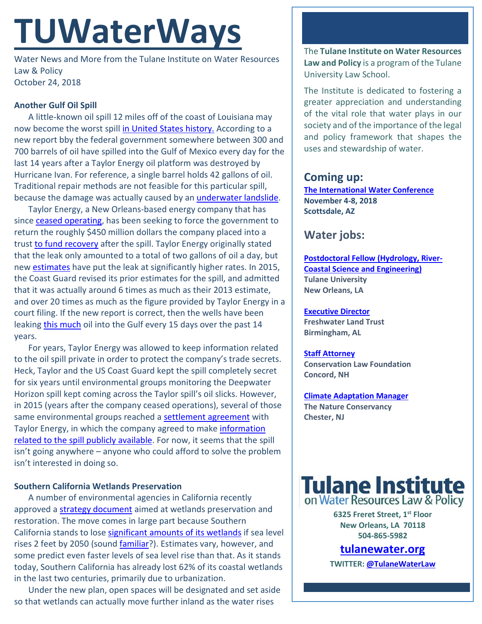# **TUWaterWays**

Water News and More from the Tulane Institute on Water Resources Law & Policy October 24, 2018

## **Another Gulf Oil Spill**

A little-known oil spill 12 miles off of the coast of Louisiana may now become the worst spill [in United States history.](https://www.washingtonpost.com/national/health-science/a-14-year-long-oil-spill-in-the-gulf-of-mexico-verges-on-becoming-one-of-the-worst-in-us-history/2018/10/20/f9a66fd0-9045-11e8-bcd5-9d911c784c38_story.html?utm_term=.ef1830fbfac1) According to a new report bby the federal government somewhere between 300 and 700 barrels of oil have spilled into the Gulf of Mexico every day for the last 14 years after a Taylor Energy oil platform was destroyed by Hurricane Ivan. For reference, a single barrel holds 42 gallons of oil. Traditional repair methods are not feasible for this particular spill, because the damage was actually caused by an [underwater landslide.](https://www.nola.com/environment/index.ssf/2013/07/taylor_energy_oil_platform_des_1.html)

Taylor Energy, a New Orleans-based energy company that has since [ceased operating,](http://www.taylorenergy.com/) has been seeking to force the government to return the roughly \$450 million dollars the company placed into a trust [to fund recovery](https://www.nola.com/environment/index.ssf/2017/12/oil_and_gas_plumes_again_at_ta.html) after the spill. Taylor Energy originally stated that the leak only amounted to a total of two gallons of oil a day, but new [estimates](http://www.aoml.noaa.gov/phod/news/load.php?pFullStory=20170418_20170418503_Taylor_Energy_Oil_Leak.html) have put the leak at significantly higher rates. In 2015, the Coast Guard revised its prior estimates for the spill, and admitted that it was actually around 6 times as much as their 2013 estimate, and over 20 times as much as the figure provided by Taylor Energy in a court filing. If the new report is correct, then the wells have been leaking [this much](https://www.usatoday.com/story/news/nation-now/2018/10/23/nasa-releases-450-000-gallons-water-its-launch-pad-heres-why/1736748002/) oil into the Gulf every 15 days over the past 14 years.

For years, Taylor Energy was allowed to keep information related to the oil spill private in order to protect the company's trade secrets. Heck, Taylor and the US Coast Guard kept the spill completely secret for six years until environmental groups monitoring the Deepwater Horizon spill kept coming across the Taylor spill's oil slicks. However, in 2015 (years after the company ceased operations), several of those same environmental groups reached a [settlement agreement](https://leanweb.org/legal/veil-of-secrecy-finally-lifted-on-taylor-energys-decade-long-oil-leak/) with Taylor Energy, in which the company agreed to make information [related to the spill publicly available.](https://www.youtube.com/watch?v=GD6qtc2_AQA) For now, it seems that the spill isn't going anywhere – anyone who could afford to solve the problem isn't interested in doing so.

## **Southern California Wetlands Preservation**

A number of environmental agencies in California recently approved [a strategy document](https://scwrp.databasin.org/pages/regional-strategy-report) aimed at wetlands preservation and restoration. The move comes in large part because Southern California stands to lose [significant amounts of its wetlands](https://www.sbsun.com/2018/10/18/for-southern-california-wetlands-threatened-by-sea-level-rise-a-new-survival-strategy/) if sea level rises 2 feet by 2050 (sound [familiar?](https://www.theadvocate.com/new_orleans/news/environment/article_5ac81e86-d1e7-11e6-9177-1bbd55b599b7.html)). Estimates vary, however, and some predict even faster levels of sea level rise than that. As it stands today, Southern California has already lost 62% of its coastal wetlands in the last two centuries, primarily due to urbanization.

Under the new plan, open spaces will be designated and set aside so that wetlands can actually move further inland as the water rises

The **Tulane Institute on Water Resources Law and Policy** is a program of the Tulane University Law School.

The Institute is dedicated to fostering a greater appreciation and understanding of the vital role that water plays in our society and of the importance of the legal and policy framework that shapes the uses and stewardship of water.

# **Coming up:**

**[The International Water Conference](https://eswp.com/water/overview/) November 4-8, 2018 Scottsdale, AZ**

# **Water jobs:**

**[Postdoctoral Fellow \(Hydrology, River-](https://www.joshswaterjobs.com/jobs/10336)[Coastal Science and Engineering\)](https://www.joshswaterjobs.com/jobs/10336) Tulane University New Orleans, LA**

# **[Executive Director](https://www.joshswaterjobs.com/jobs/10696)**

**Freshwater Land Trust Birmingham, AL**

### **[Staff Attorney](https://www.joshswaterjobs.com/jobs/10674)**

**Conservation Law Foundation Concord, NH**

### **[Climate Adaptation Manager](https://www.joshswaterjobs.com/jobs/10673)**

**The Nature Conservancy Chester, NJ**



**6325 Freret Street, 1st Floor New Orleans, LA 70118 504-865-5982** 

# **tulanewater.org**

**TWITTER[: @TulaneWaterLaw](http://www.twitter.com/TulaneWaterLaw)**